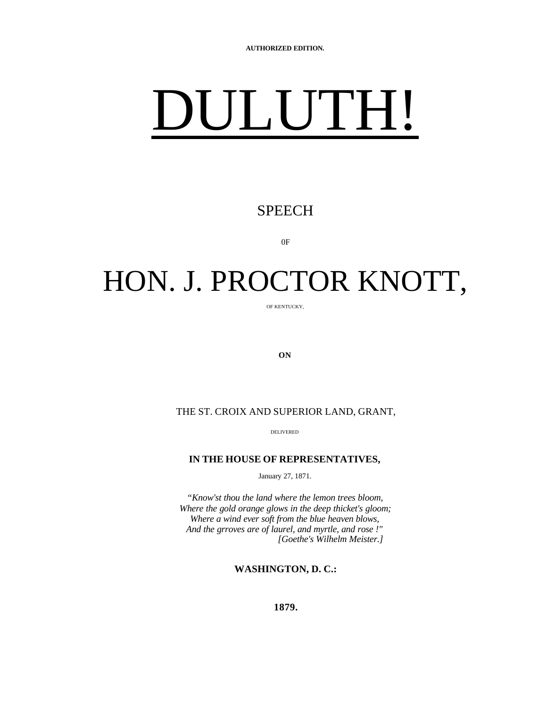# DULUTH!

#### SPEECH

0F

## HON. J. PROCTOR KNOTT,

OF KENTUCKY,

**ON**

THE ST. CROIX AND SUPERIOR LAND, GRANT,

DELIVERED

#### **IN THE HOUSE OF REPRESENTATIVES,**

January 27, 1871.

*"Know'st thou the land where the lemon trees bloom, Where the gold orange glows in the deep thicket's gloom; Where a wind ever soft from the blue heaven blows, And the grroves are of laurel, and myrtle, and rose !" [Goethe's Wilhelm Meister.]*

**WASHINGTON, D. C.:**

**1879.**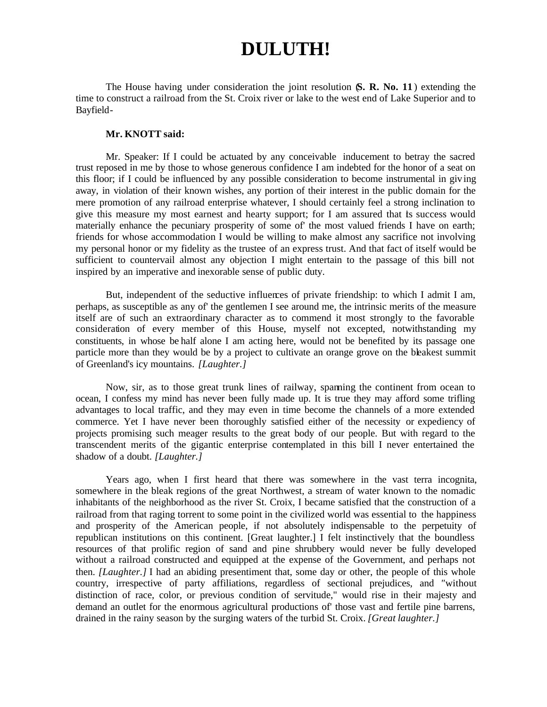### **DULUTH!**

The House having under consideration the joint resolution (**S. R. No. 11** ) extending the time to construct a railroad from the St. Croix river or lake to the west end of Lake Superior and to Bayfield-

#### **Mr. KNOTT said:**

Mr. Speaker: If I could be actuated by any conceivable inducement to betray the sacred trust reposed in me by those to whose generous confidence I am indebted for the honor of a seat on this floor; if I could be influenced by any possible consideration to become instrumental in giving away, in violation of their known wishes, any portion of their interest in the public domain for the mere promotion of any railroad enterprise whatever, I should certainly feel a strong inclination to give this measure my most earnest and hearty support; for I am assured that is success would materially enhance the pecuniary prosperity of some of' the most valued friends I have on earth; friends for whose accommodation I would be willing to make almost any sacrifice not involving my personal honor or my fidelity as the trustee of an express trust. And that fact of itself would be sufficient to countervail almost any objection I might entertain to the passage of this bill not inspired by an imperative and inexorable sense of public duty.

But, independent of the seductive influences of private friendship: to which I admit I am, perhaps, as susceptible as any of' the gentlemen I see around me, the intrinsic merits of the measure itself are of such an extraordinary character as to commend it most strongly to the favorable consideration of every member of this House, myself not excepted, notwithstanding my constituents, in whose be half alone I am acting here, would not be benefited by its passage one particle more than they would be by a project to cultivate an orange grove on the bleakest summit of Greenland's icy mountains. *[Laughter.]*

Now, sir, as to those great trunk lines of railway, spanning the continent from ocean to ocean, I confess my mind has never been fully made up. It is true they may afford some trifling advantages to local traffic, and they may even in time become the channels of a more extended commerce. Yet I have never been thoroughly satisfied either of the necessity or expediency of projects promising such meager results to the great body of our people. But with regard to the transcendent merits of the gigantic enterprise contemplated in this bill I never entertained the shadow of a doubt. *[Laughter.]*

Years ago, when I first heard that there was somewhere in the vast terra incognita, somewhere in the bleak regions of the great Northwest, a stream of water known to the nomadic inhabitants of the neighborhood as the river St. Croix, I became satisfied that the construction of a railroad from that raging torrent to some point in the civilized world was essential to the happiness and prosperity of the American people, if not absolutely indispensable to the perpetuity of republican institutions on this continent. [Great laughter.] I felt instinctively that the boundless resources of that prolific region of sand and pine shrubbery would never be fully developed without a railroad constructed and equipped at the expense of the Government, and perhaps not then. *[Laughter.]* I had an abiding presentiment that, some day or other, the people of this whole country, irrespective of party affiliations, regardless of sectional prejudices, and *"*without distinction of race, color, or previous condition of servitude," would rise in their majesty and demand an outlet for the enormous agricultural productions of' those vast and fertile pine barrens, drained in the rainy season by the surging waters of the turbid St. Croix. *[Great laughter.]*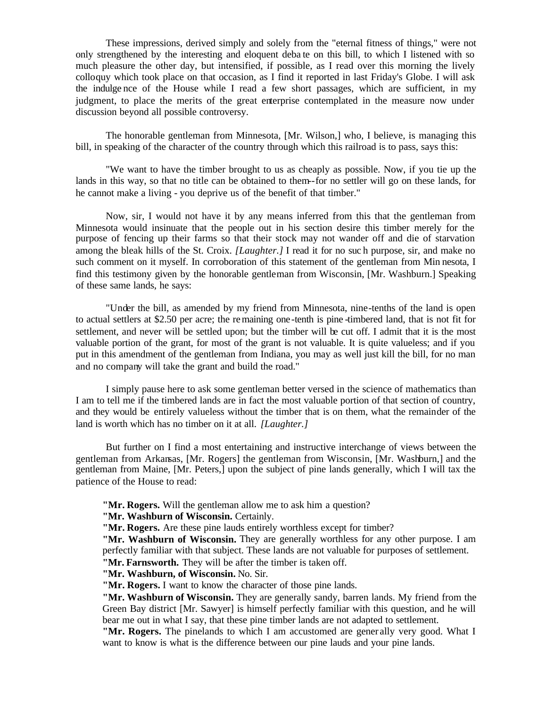These impressions, derived simply and solely from the "eternal fitness of things," were not only strengthened by the interesting and eloquent deba te on this bill, to which I listened with so much pleasure the other day, but intensified, if possible, as I read over this morning the lively colloquy which took place on that occasion, as I find it reported in last Friday's Globe. I will ask the indulge nce of the House while I read a few short passages, which are sufficient, in my judgment, to place the merits of the great enterprise contemplated in the measure now under discussion beyond all possible controversy.

The honorable gentleman from Minnesota, [Mr. Wilson,] who, I believe, is managing this bill, in speaking of the character of the country through which this railroad is to pass, says this:

"We want to have the timber brought to us as cheaply as possible. Now, if you tie up the lands in this way, so that no title can be obtained to them--for no settler will go on these lands, for he cannot make a living - you deprive us of the benefit of that timber."

Now, sir, I would not have it by any means inferred from this that the gentleman from Minnesota would insinuate that the people out in his section desire this timber merely for the purpose of fencing up their farms so that their stock may not wander off and die of starvation among the bleak hills of the St. Croix. *[Laughter.]* I read it for no suc h purpose, sir, and make no such comment on it myself. In corroboration of this statement of the gentleman from Min nesota, I find this testimony given by the honorable gentleman from Wisconsin, [Mr. Washburn.] Speaking of these same lands, he says:

"Under the bill, as amended by my friend from Minnesota, nine-tenths of the land is open to actual settlers at \$2.50 per acre; the remaining one-tenth is pine -timbered land, that is not fit for settlement, and never will be settled upon; but the timber will be cut off. I admit that it is the most valuable portion of the grant, for most of the grant is not valuable. It is quite valueless; and if you put in this amendment of the gentleman from Indiana, you may as well just kill the bill, for no man and no company will take the grant and build the road."

I simply pause here to ask some gentleman better versed in the science of mathematics than I am to tell me if the timbered lands are in fact the most valuable portion of that section of country, and they would be entirely valueless without the timber that is on them, what the remainder of the land is worth which has no timber on it at all. *[Laughter.]*

But further on I find a most entertaining and instructive interchange of views between the gentleman from Arkansas, [Mr. Rogers] the gentleman from Wisconsin, [Mr. Washburn,] and the gentleman from Maine, [Mr. Peters,] upon the subject of pine lands generally, which I will tax the patience of the House to read:

**"Mr. Rogers.** Will the gentleman allow me to ask him a question?

**"Mr. Washburn of Wisconsin.** Certainly.

**"Mr. Rogers.** Are these pine lauds entirely worthless except for timber?

**"Mr. Washburn of Wisconsin.** They are generally worthless for any other purpose. I am perfectly familiar with that subject. These lands are not valuable for purposes of settlement.

**"Mr. Farnsworth.** They will be after the timber is taken off.

**"Mr. Washburn, of Wisconsin.** No. Sir.

**"Mr. Rogers.** I want to know the character of those pine lands.

**"Mr. Washburn of Wisconsin.** They are generally sandy, barren lands. My friend from the Green Bay district [Mr. Sawyer] is himself perfectly familiar with this question, and he will bear me out in what I say, that these pine timber lands are not adapted to settlement.

**"Mr. Rogers.** The pinelands to which I am accustomed are gener ally very good. What I want to know is what is the difference between our pine lauds and your pine lands.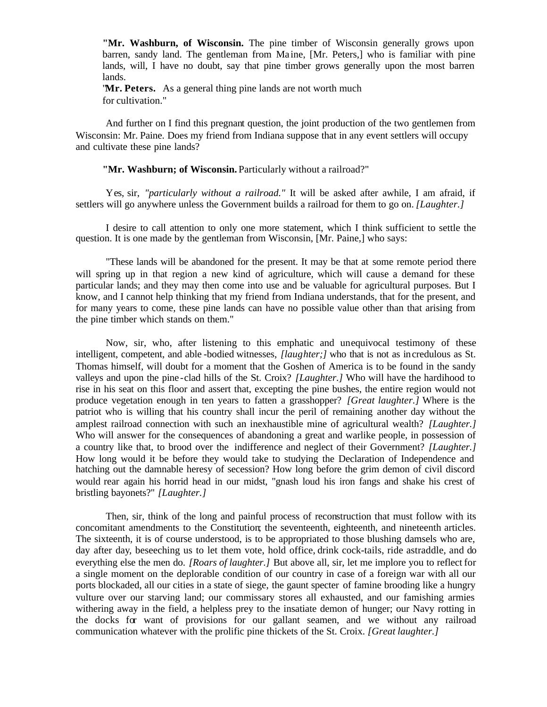**"Mr. Washburn, of Wisconsin.** The pine timber of Wisconsin generally grows upon barren, sandy land. The gentleman from Ma ine, [Mr. Peters,] who is familiar with pine lands, will, I have no doubt, say that pine timber grows generally upon the most barren lands.

"**Mr. Peters.** As a general thing pine lands are not worth much for cultivation."

And further on I find this pregnant question, the joint production of the two gentlemen from Wisconsin: Mr. Paine. Does my friend from Indiana suppose that in any event settlers will occupy and cultivate these pine lands?

#### **"Mr. Washburn; of Wisconsin.** Particularly without a railroad?"

Yes, sir, *"particularly without a railroad."* It will be asked after awhile, I am afraid, if settlers will go anywhere unless the Government builds a railroad for them to go on. *[Laughter.]*

I desire to call attention to only one more statement, which I think sufficient to settle the question. It is one made by the gentleman from Wisconsin, [Mr. Paine,] who says:

"These lands will be abandoned for the present. It may be that at some remote period there will spring up in that region a new kind of agriculture, which will cause a demand for these particular lands; and they may then come into use and be valuable for agricultural purposes. But I know, and I cannot help thinking that my friend from Indiana understands, that for the present, and for many years to come, these pine lands can have no possible value other than that arising from the pine timber which stands on them."

Now, sir, who, after listening to this emphatic and unequivocal testimony of these intelligent, competent, and able -bodied witnesses, *[laughter;]* who that is not as incredulous as St. Thomas himself, will doubt for a moment that the Goshen of America is to be found in the sandy valleys and upon the pine -clad hills of the St. Croix? *[Laughter.]* Who will have the hardihood to rise in his seat on this floor and assert that, excepting the pine bushes, the entire region would not produce vegetation enough in ten years to fatten a grasshopper? *[Great laughter.]* Where is the patriot who is willing that his country shall incur the peril of remaining another day without the amplest railroad connection with such an inexhaustible mine of agricultural wealth? *[Laughter.]* Who will answer for the consequences of abandoning a great and warlike people, in possession of a country like that, to brood over the indifference and neglect of their Government? *[Laughter.]* How long would it be before they would take to studying the Declaration of Independence and hatching out the damnable heresy of secession? How long before the grim demon of civil discord would rear again his horrid head in our midst, "gnash loud his iron fangs and shake his crest of bristling bayonets?" *[Laughter.]*

Then, sir, think of the long and painful process of reconstruction that must follow with its concomitant amendments to the Constitution; the seventeenth, eighteenth, and nineteenth articles. The sixteenth, it is of course understood, is to be appropriated to those blushing damsels who are, day after day*,* beseeching us to let them vote, hold office, drink cock-tails, ride astraddle, and do everything else the men do. *[Roars of laughter.]* But above all, sir, let me implore you to reflect for a single moment on the deplorable condition of our country in case of a foreign war with all our ports blockaded, all our cities in a state of siege, the gaunt specter of famine brooding like a hungry vulture over our starving land; our commissary stores all exhausted, and our famishing armies withering away in the field, a helpless prey to the insatiate demon of hunger; our Navy rotting in the docks for want of provisions for our gallant seamen, and we without any railroad communication whatever with the prolific pine thickets of the St. Croix. *[Great laughter.]*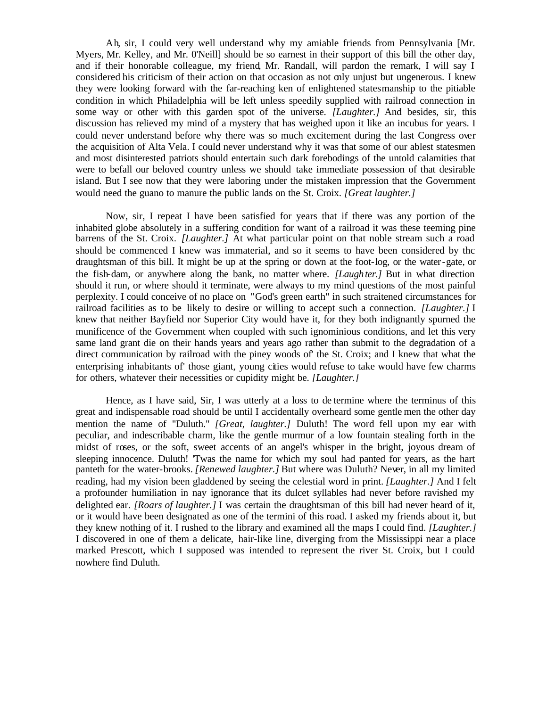Ah*,* sir, I could very well understand why my amiable friends from Pennsylvania [Mr. Myers, Mr. Kelley, and Mr. 0'Neill] should be so earnest in their support of this bill the other day, and if their honorable colleague, my friend Mr. Randall, will pardon the remark, I will say I considered his criticism of their action on that occasion as not only unjust but ungenerous. I knew they were looking forward with the far-reaching ken of enlightened statesmanship to the pitiable condition in which Philadelphia will be left unless speedily supplied with railroad connection in some way or other with this garden spot of the universe. *[Laughter.]* And besides, sir, this discussion has relieved my mind of a mystery that has weighed upon it like an incubus for years. I could never understand before why there was so much excitement during the last Congress over the acquisition of Alta Vela. I could never understand why it was that some of our ablest statesmen and most disinterested patriots should entertain such dark forebodings of the untold calamities that were to befall our beloved country unless we should take immediate possession of that desirable island. But I see now that they were laboring under the mistaken impression that the Government would need the guano to manure the public lands on the St. Croix. *[Great laughter.]*

Now, sir, I repeat I have been satisfied for years that if there was any portion of the inhabited globe absolutely in a suffering condition for want of a railroad it was these teeming pine barrens of the St. Croix. *[Laughter.]* At what particular point on that noble stream such a road should be commenced I knew was immaterial, and so it seems to have been considered by thc draughtsman of this bill. It might be up at the spring or down at the foot-log, or the water-gate, or the fish-dam, or anywhere along the bank, no matter where. *[Laughter.]* But in what direction should it run, or where should it terminate, were always to my mind questions of the most painful perplexity. I could conceive of no place on *"*God's green earth" in such straitened circumstances for railroad facilities as to be likely to desire or willing to accept such a connection. *[Laughter.]* I knew that neither Bayfield nor Superior City would have it, for they both indignantly spurned the munificence of the Government when coupled with such ignominious conditions, and let this very same land grant die on their hands years and years ago rather than submit to the degradation of a direct communication by railroad with the piney woods of' the St. Croix; and I knew that what the enterprising inhabitants of' those giant, young cities would refuse to take would have few charms for others, whatever their necessities or cupidity might be. *[Laughter.]*

Hence, as I have said, Sir, I was utterly at a loss to de termine where the terminus of this great and indispensable road should be until I accidentally overheard some gentle men the other day mention the name of "Duluth." *[Great, laughter.]* Duluth! The word fell upon my ear with peculiar, and indescribable charm, like the gentle murmur of a low fountain stealing forth in the midst of roses, or the soft, sweet accents of an angel's whisper in the bright, joyous dream of sleeping innocence. Duluth! 'Twas the name for which my soul had panted for years, as the hart panteth for the water-brooks. *[Renewed laughter.]* But where was Duluth? Never, in all my limited reading, had my vision been gladdened by seeing the celestial word in print. *[Laughter.]* And I felt a profounder humiliation in nay ignorance that its dulcet syllables had never before ravished my delighted ear. *[Roars of laughter.]* I was certain the draughtsman of this bill had never heard of it, or it would have been designated as one of the termini of this road. I asked my friends about it, but they knew nothing of it. I rushed to the library and examined all the maps I could find. *[Laughter.]* I discovered in one of them a delicate, hair-like line, diverging from the Mississippi near a place marked Prescott, which I supposed was intended to represent the river St. Croix, but I could nowhere find Duluth.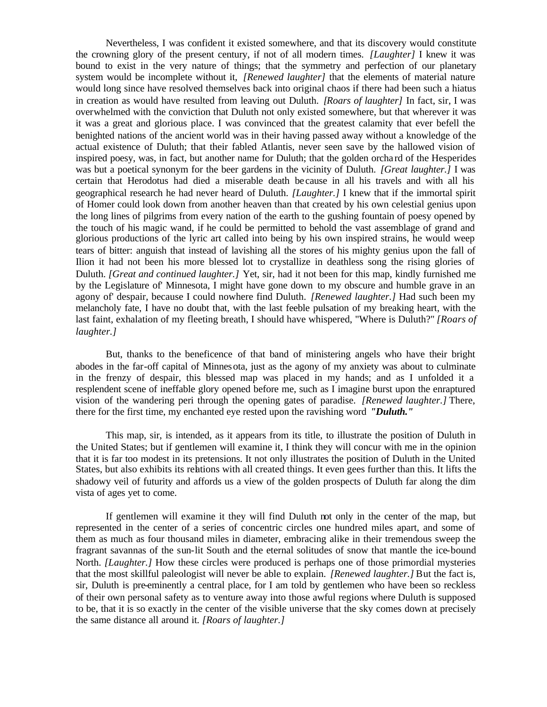Nevertheless, I was confident it existed somewhere, and that its discovery would constitute the crowning glory of the present century, if not of all modern times. *[Laughter]* I knew it was bound to exist in the very nature of things; that the symmetry and perfection of our planetary system would be incomplete without it, *[Renewed laughter]* that the elements of material nature would long since have resolved themselves back into original chaos if there had been such a hiatus in creation as would have resulted from leaving out Duluth. *[Roars of laughter]* In fact, sir, I was overwhelmed with the conviction that Duluth not only existed somewhere, but that wherever it was it was a great and glorious place. I was convinced that the greatest calamity that ever befell the benighted nations of the ancient world was in their having passed away without a knowledge of the actual existence of Duluth; that their fabled Atlantis, never seen save by the hallowed vision of inspired poesy, was, in fact, but another name for Duluth; that the golden orcha rd of the Hesperides was but a poetical synonym for the beer gardens in the vicinity of Duluth. *[Great laughter.]* I was certain that Herodotus had died a miserable death be cause in all his travels and with all his geographical research he had never heard of Duluth. *[Laughter.]* I knew that if the immortal spirit of Homer could look down from another heaven than that created by his own celestial genius upon the long lines of pilgrims from every nation of the earth to the gushing fountain of poesy opened by the touch of his magic wand, if he could be permitted to behold the vast assemblage of grand and glorious productions of the lyric art called into being by his own inspired strains, he would weep tears of bitter: anguish that instead of lavishing all the stores of his mighty genius upon the fall of Ilion it had not been his more blessed lot to crystallize in deathless song the rising glories of Duluth. *[Great and continued laughter.]* Yet, sir, had it not been for this map, kindly furnished me by the Legislature of' Minnesota, I might have gone down to my obscure and humble grave in an agony of' despair, because I could nowhere find Duluth. *[Renewed laughter.]* Had such been my melancholy fate, I have no doubt that, with the last feeble pulsation of my breaking heart, with the last faint, exhalation of my fleeting breath, I should have whispered, "Where is Duluth?" *[Roars of laughter.]*

But, thanks to the beneficence of that band of ministering angels who have their bright abodes in the far-off capital of Minnesota, just as the agony of my anxiety was about to culminate in the frenzy of despair, this blessed map was placed in my hands; and as I unfolded it a resplendent scene of ineffable glory opened before me, such as I imagine burst upon the enraptured vision of the wandering peri through the opening gates of paradise. *[Renewed laughter.]* There, there for the first time, my enchanted eye rested upon the ravishing word *"Duluth."*

This map, sir, is intended, as it appears from its title, to illustrate the position of Duluth in the United States; but if gentlemen will examine it, I think they will concur with me in the opinion that it is far too modest in its pretensions. It not only illustrates the position of Duluth in the United States, but also exhibits its relations with all created things. It even gees further than this. It lifts the shadowy veil of futurity and affords us a view of the golden prospects of Duluth far along the dim vista of ages yet to come.

If gentlemen will examine it they will find Duluth not only in the center of the map, but represented in the center of a series of concentric circles one hundred miles apart, and some of them as much as four thousand miles in diameter, embracing alike in their tremendous sweep the fragrant savannas of the sun-lit South and the eternal solitudes of snow that mantle the ice-bound North. *[Laughter.]* How these circles were produced is perhaps one of those primordial mysteries that the most skillful paleologist will never be able to explain. *[Renewed laughter.]* But the fact is, sir, Duluth is pre-eminently a central place, for I am told by gentlemen who have been so reckless of their own personal safety as to venture away into those awful regions where Duluth is supposed to be, that it is so exactly in the center of the visible universe that the sky comes down at precisely the same distance all around it. *[Roars of laughter.]*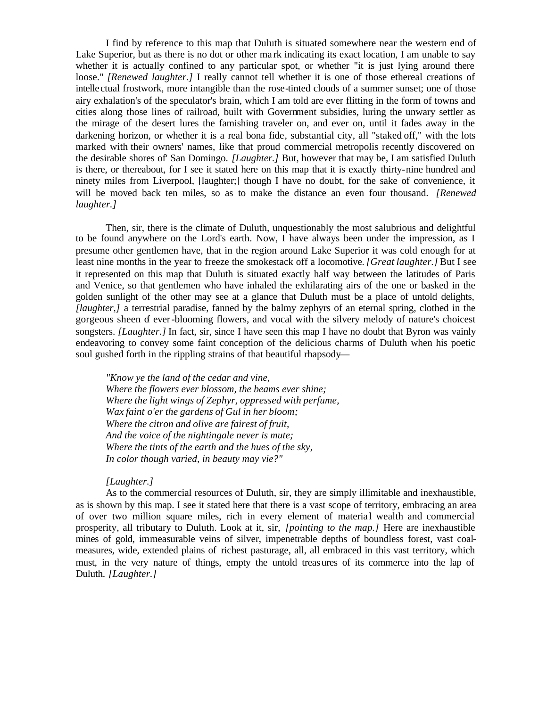I find by reference to this map that Duluth is situated somewhere near the western end of Lake Superior, but as there is no dot or other ma rk indicating its exact location, I am unable to say whether it is actually confined to any particular spot, or whether "it is just lying around there loose." *[Renewed laughter.]* I really cannot tell whether it is one of those ethereal creations of intellectual frostwork, more intangible than the rose-tinted clouds of a summer sunset; one of those airy exhalation's of the speculator's brain, which I am told are ever flitting in the form of towns and cities along those lines of railroad, built with Government subsidies, luring the unwary settler as the mirage of the desert lures the famishing traveler on, and ever on, until it fades away in the darkening horizon, or whether it is a real bona fide*,* substantial city, all "staked off," with the lots marked with their owners' names, like that proud commercial metropolis recently discovered on the desirable shores of' San Domingo. *[Laughter.]* But, however that may be, I am satisfied Duluth is there, or thereabout, for I see it stated here on this map that it is exactly thirty-nine hundred and ninety miles from Liverpool, [laughter;] though I have no doubt, for the sake of convenience, it will be moved back ten miles, so as to make the distance an even four thousand. *[Renewed laughter.]*

Then, sir, there is the climate of Duluth, unquestionably the most salubrious and delightful to be found anywhere on the Lord's earth. Now, I have always been under the impression, as I presume other gentlemen have, that in the region around Lake Superior it was cold enough for at least nine months in the year to freeze the smokestack off a locomotive. *[Great laughter.]* But I see it represented on this map that Duluth is situated exactly half way between the latitudes of Paris and Venice, so that gentlemen who have inhaled the exhilarating airs of the one or basked in the golden sunlight of the other may see at a glance that Duluth must be a place of untold delights, *[laughter,]* a terrestrial paradise, fanned by the balmy zephyrs of an eternal spring, clothed in the gorgeous sheen of ever-blooming flowers, and vocal with the silvery melody of nature's choicest songsters. *[Laughter.]* In fact, sir, since I have seen this map I have no doubt that Byron was vainly endeavoring to convey some faint conception of the delicious charms of Duluth when his poetic soul gushed forth in the rippling strains of that beautiful rhapsody—

*"Know ye the land of the cedar and vine, Where the flowers ever blossom, the beams ever shine; Where the light wings of Zephyr, oppressed with perfume, Wax faint o'er the gardens of Gul in her bloom; Where the citron and olive are fairest of fruit, And the voice of the nightingale never is mute; Where the tints of the earth and the hues of the sky, In color though varied, in beauty may vie?"*

#### *[Laughter.]*

As to the commercial resources of Duluth, sir, they are simply illimitable and inexhaustible, as is shown by this map. I see it stated here that there is a vast scope of territory, embracing an area of over two million square miles, rich in every element of materia l wealth and commercial prosperity, all tributary to Duluth. Look at it, sir, *[pointing to the map.]* Here are inexhaustible mines of gold, immeasurable veins of silver, impenetrable depths of boundless forest, vast coalmeasures, wide, extended plains of richest pasturage, all, all embraced in this vast territory, which must, in the very nature of things, empty the untold treasures of its commerce into the lap of Duluth. *[Laughter.]*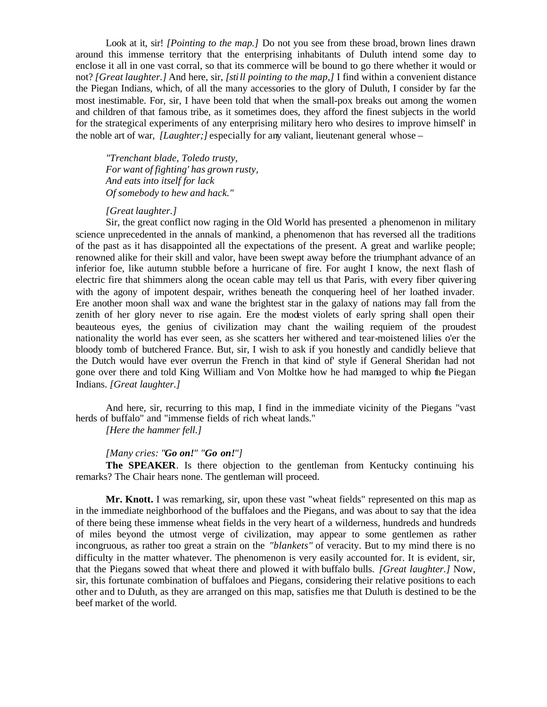Look at it, sir! *[Pointing to the map.]* Do not you see from these broad, brown lines drawn around this immense territory that the enterprising inhabitants of Duluth intend some day to enclose it all in one vast corral, so that its commerce will be bound to go there whether it would or not? *[Great laughter.]* And here, sir, *[still pointing to the map,]* I find within a convenient distance the Piegan Indians, which, of all the many accessories to the glory of Duluth, I consider by far the most inestimable. For, sir, I have been told that when the small-pox breaks out among the women and children of that famous tribe, as it sometimes does, they afford the finest subjects in the world for the strategical experiments of any enterprising military hero who desires to improve himself' in the noble art of war, *[Laughter;]* especially for any valiant, lieutenant general whose –

*"Trenchant blade, Toledo trusty, For want of fighting' has grown rusty, And eats into itself for lack Of somebody to hew and hack."*

#### *[Great laughter.]*

Sir, the great conflict now raging in the Old World has presented a phenomenon in military science unprecedented in the annals of mankind, a phenomenon that has reversed all the traditions of the past as it has disappointed all the expectations of the present. A great and warlike people; renowned alike for their skill and valor, have been swept away before the triumphant advance of an inferior foe, like autumn stubble before a hurricane of fire. For aught I know, the next flash of electric fire that shimmers along the ocean cable may tell us that Paris, with every fiber quivering with the agony of impotent despair, writhes beneath the conquering heel of her loathed invader. Ere another moon shall wax and wane the brightest star in the galaxy of nations may fall from the zenith of her glory never to rise again. Ere the modest violets of early spring shall open their beauteous eyes, the genius of civilization may chant the wailing requiem of the proudest nationality the world has ever seen, as she scatters her withered and tear-moistened lilies o'er the bloody tomb of butchered France. But, sir, I wish to ask if you honestly and candidly believe that the Dutch would have ever overrun the French in that kind of' style if General Sheridan had not gone over there and told King William and Von Moltke how he had managed to whip the Piegan Indians. *[Great laughter.]*

And here, sir, recurring to this map, I find in the immediate vicinity of the Piegans "vast herds of buffalo" and "immense fields of rich wheat lands."

*[Here the hammer fell.]*

#### *[Many cries: "Go on!" "Go on!"]*

**The SPEAKER**. Is there objection to the gentleman from Kentucky continuing his remarks? The Chair hears none. The gentleman will proceed.

**Mr. Knott.** I was remarking, sir, upon these vast "wheat fields" represented on this map as in the immediate neighborhood of the buffaloes and the Piegans, and was about to say that the idea of there being these immense wheat fields in the very heart of a wilderness, hundreds and hundreds of miles beyond the utmost verge of civilization, may appear to some gentlemen as rather incongruous, as rather too great a strain on the *"blankets"* of veracity. But to my mind there is no difficulty in the matter whatever. The phenomenon is very easily accounted for. It is evident, sir, that the Piegans sowed that wheat there and plowed it with buffalo bulls. *[Great laughter.]* Now, sir, this fortunate combination of buffaloes and Piegans, considering their relative positions to each other and to Duluth, as they are arranged on this map, satisfies me that Duluth is destined to be the beef market of the world.